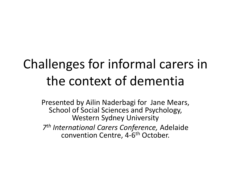## Challenges for informal carers in the context of dementia

Presented by Ailin Naderbagi for Jane Mears, School of Social Sciences and Psychology, Western Sydney University

*7th International Carers Conference,* Adelaide convention Centre, 4-6th October.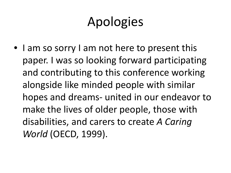## Apologies

• I am so sorry I am not here to present this paper. I was so looking forward participating and contributing to this conference working alongside like minded people with similar hopes and dreams- united in our endeavor to make the lives of older people, those with disabilities, and carers to create *A Caring World* (OECD, 1999).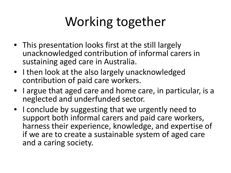# Working together

- This presentation looks first at the still largely unacknowledged contribution of informal carers in sustaining aged care in Australia.
- I then look at the also largely unacknowledged contribution of paid care workers.
- I argue that aged care and home care, in particular, is a neglected and underfunded sector.
- I conclude by suggesting that we urgently need to support both informal carers and paid care workers, harness their experience, knowledge, and expertise of if we are to create a sustainable system of aged care and a caring society.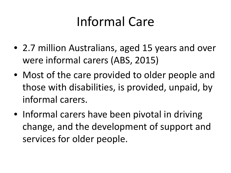### Informal Care

- 2.7 million Australians, aged 15 years and over were informal carers (ABS, 2015)
- Most of the care provided to older people and those with disabilities, is provided, unpaid, by informal carers.
- Informal carers have been pivotal in driving change, and the development of support and services for older people.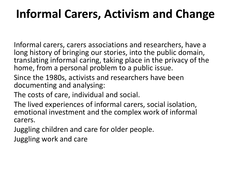#### **Informal Carers, Activism and Change**

Informal carers, carers associations and researchers, have a long history of bringing our stories, into the public domain, translating informal caring, taking place in the privacy of the home, from a personal problem to a public issue.

- Since the 1980s, activists and researchers have been documenting and analysing:
- The costs of care, individual and social.
- The lived experiences of informal carers, social isolation, emotional investment and the complex work of informal carers.
- Juggling children and care for older people.
- Juggling work and care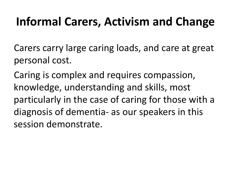#### **Informal Carers, Activism and Change**

Carers carry large caring loads, and care at great personal cost.

Caring is complex and requires compassion, knowledge, understanding and skills, most particularly in the case of caring for those with a diagnosis of dementia- as our speakers in this session demonstrate.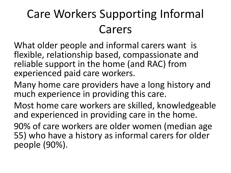### Care Workers Supporting Informal Carers

What older people and informal carers want is flexible, relationship based, compassionate and reliable support in the home (and RAC) from experienced paid care workers.

Many home care providers have a long history and much experience in providing this care.

Most home care workers are skilled, knowledgeable and experienced in providing care in the home.

90% of care workers are older women (median age 55) who have a history as informal carers for older people (90%).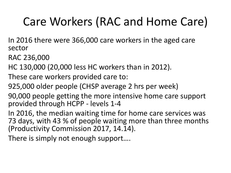#### Care Workers (RAC and Home Care)

In 2016 there were 366,000 care workers in the aged care sector

RAC 236,000

- HC 130,000 (20,000 less HC workers than in 2012).
- These care workers provided care to:
- 925,000 older people (CHSP average 2 hrs per week)
- 90,000 people getting the more intensive home care support provided through HCPP - levels 1-4
- In 2016, the median waiting time for home care services was 73 days, with 43 % of people waiting more than three months (Productivity Commission 2017, 14.14).

There is simply not enough support….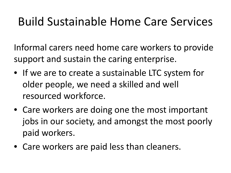#### Build Sustainable Home Care Services

Informal carers need home care workers to provide support and sustain the caring enterprise.

- If we are to create a sustainable LTC system for older people, we need a skilled and well resourced workforce.
- Care workers are doing one the most important jobs in our society, and amongst the most poorly paid workers.
- Care workers are paid less than cleaners.